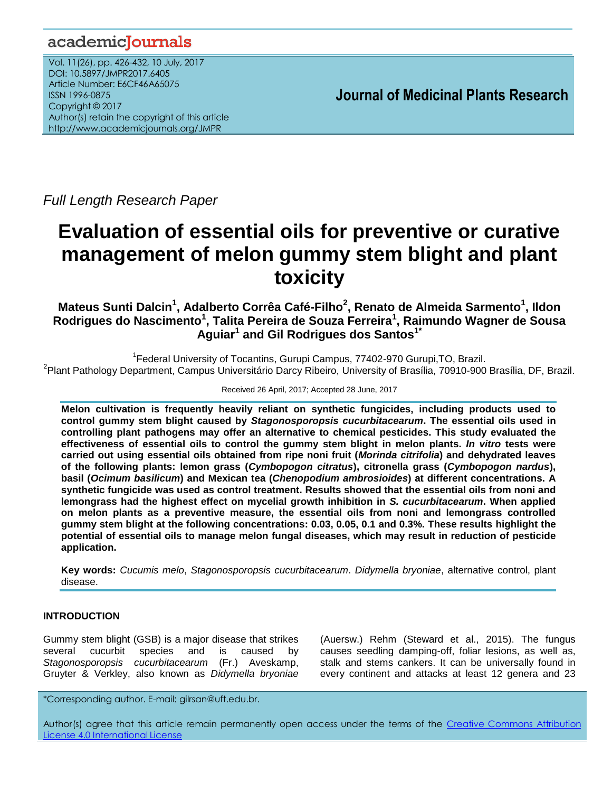# academicJournals

Vol. 11(26), pp. 426-432, 10 July, 2017 DOI: 10.5897/JMPR2017.6405 Article Number: E6CF46A65075 ISSN 1996-0875 Copyright © 2017 Author(s) retain the copyright of this article http://www.academicjournals.org/JMPR

 **Journal of Medicinal Plants Research**

*Full Length Research Paper* 

# **Evaluation of essential oils for preventive or curative management of melon gummy stem blight and plant toxicity**

**Mateus Sunti Dalcin<sup>1</sup> , Adalberto Corrêa Café-Filho<sup>2</sup> , Renato de Almeida Sarmento<sup>1</sup> , Ildon Rodrigues do Nascimento<sup>1</sup> , Talita Pereira de Souza Ferreira<sup>1</sup> , Raimundo Wagner de Sousa Aguiar<sup>1</sup> and Gil Rodrigues dos Santos1\***

<sup>1</sup> Federal University of Tocantins, Gurupi Campus, 77402-970 Gurupi, TO, Brazil. <sup>2</sup> Plant Pathology Department, Campus Universitário Darcy Ribeiro, University of Brasília, 70910-900 Brasília, DF, Brazil.

# Received 26 April, 2017; Accepted 28 June, 2017

**Melon cultivation is frequently heavily reliant on synthetic fungicides, including products used to control gummy stem blight caused by** *Stagonosporopsis cucurbitacearum***. The essential oils used in controlling plant pathogens may offer an alternative to chemical pesticides. This study evaluated the effectiveness of essential oils to control the gummy stem blight in melon plants.** *In vitro* **tests were carried out using essential oils obtained from ripe noni fruit (***Morinda citrifolia***) and dehydrated leaves of the following plants: lemon grass (***Cymbopogon citratus***), citronella grass (***Cymbopogon nardus***), basil (***Ocimum basilicum***) and Mexican tea (***Chenopodium ambrosioides***) at different concentrations. A synthetic fungicide was used as control treatment. Results showed that the essential oils from noni and lemongrass had the highest effect on mycelial growth inhibition in** *S. cucurbitacearum***. When applied on melon plants as a preventive measure, the essential oils from noni and lemongrass controlled gummy stem blight at the following concentrations: 0.03, 0.05, 0.1 and 0.3%. These results highlight the potential of essential oils to manage melon fungal diseases, which may result in reduction of pesticide application.**

**Key words:** *Cucumis melo*, *Stagonosporopsis cucurbitacearum*. *Didymella bryoniae*, alternative control, plant disease.

# **INTRODUCTION**

Gummy stem blight (GSB) is a major disease that strikes several cucurbit species and is caused by *Stagonosporopsis cucurbitacearum* (Fr.) Aveskamp, Gruyter & Verkley, also known as *Didymella bryoniae*

(Auersw.) Rehm (Steward et al., 2015). The fungus causes seedling damping-off, foliar lesions, as well as, stalk and stems cankers. It can be universally found in every continent and attacks at least 12 genera and 23

\*Corresponding author. E-mail: gilrsan@uft.edu.br.

Author(s) agree that this article remain permanently open access under the terms of the Creative Commons Attribution License 4.0 [International](http://creativecommons.org/licenses/by/4.0/deed.en_US) License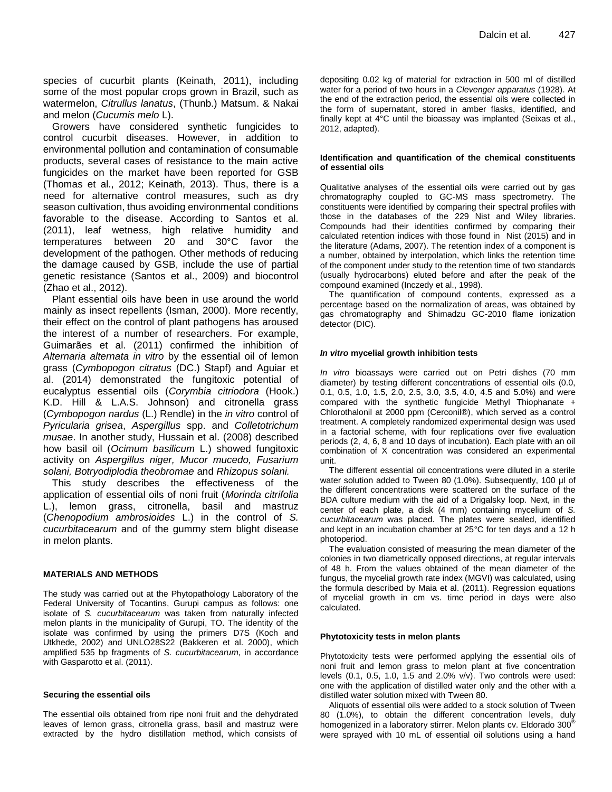species of cucurbit plants (Keinath, 2011), including some of the most popular crops grown in Brazil, such as watermelon, *Citrullus lanatus*, (Thunb.) Matsum. & Nakai and melon (*Cucumis melo* L).

Growers have considered synthetic fungicides to control cucurbit diseases. However, in addition to environmental pollution and contamination of consumable products, several cases of resistance to the main active fungicides on the market have been reported for GSB (Thomas et al., 2012; Keinath, 2013). Thus, there is a need for alternative control measures, such as dry season cultivation, thus avoiding environmental conditions favorable to the disease. According to Santos et al. (2011), leaf wetness, high relative humidity and temperatures between 20 and 30°C favor the development of the pathogen. Other methods of reducing the damage caused by GSB, include the use of partial genetic resistance (Santos et al., 2009) and biocontrol (Zhao et al., 2012).

Plant essential oils have been in use around the world mainly as insect repellents (Isman, 2000). More recently, their effect on the control of plant pathogens has aroused the interest of a number of researchers. For example, Guimarães et al. (2011) confirmed the inhibition of *Alternaria alternata in vitro* by the essential oil of lemon grass (*Cymbopogon citratus* (DC.) Stapf) and Aguiar et al. (2014) demonstrated the fungitoxic potential of eucalyptus essential oils (*Corymbia citriodora* (Hook.) K.D. Hill & L.A.S. Johnson) and citronella grass (*Cymbopogon nardus* (L.) Rendle) in the *in vitro* control of *Pyricularia grisea*, *Aspergillus* spp. and *Colletotrichum musae*. In another study, Hussain et al. (2008) described how basil oil (*Ocimum basilicum* L.) showed fungitoxic activity on *Aspergillus niger, Mucor mucedo, Fusarium solani, Botryodiplodia theobromae* and *Rhizopus solani.*

This study describes the effectiveness of the application of essential oils of noni fruit (*Morinda citrifolia* L.), lemon grass, citronella, basil and mastruz (*Chenopodium ambrosioides* L.) in the control of *S. cucurbitacearum* and of the gummy stem blight disease in melon plants.

#### **MATERIALS AND METHODS**

The study was carried out at the Phytopathology Laboratory of the Federal University of Tocantins, Gurupi campus as follows: one isolate of *S. cucurbitacearum* was taken from naturally infected melon plants in the municipality of Gurupi, TO. The identity of the isolate was confirmed by using the primers D7S (Koch and Utkhede, 2002) and UNLO28S22 (Bakkeren et al. 2000), which amplified 535 bp fragments of *S. cucurbitacearum*, in accordance with Gasparotto et al. (2011).

#### **Securing the essential oils**

The essential oils obtained from ripe noni fruit and the dehydrated leaves of lemon grass, citronella grass, basil and mastruz were extracted by the hydro distillation method, which consists of

depositing 0.02 kg of material for extraction in 500 ml of distilled water for a period of two hours in a *Clevenger apparatus* (1928). At the end of the extraction period, the essential oils were collected in the form of supernatant, stored in amber flasks, identified, and finally kept at 4°C until the bioassay was implanted (Seixas et al., 2012, adapted).

#### **Identification and quantification of the chemical constituents of essential oils**

Qualitative analyses of the essential oils were carried out by gas chromatography coupled to GC-MS mass spectrometry. The constituents were identified by comparing their spectral profiles with those in the databases of the 229 Nist and Wiley libraries. Compounds had their identities confirmed by comparing their calculated retention indices with those found in Nist (2015) and in the literature (Adams, 2007). The retention index of a component is a number, obtained by interpolation, which links the retention time of the component under study to the retention time of two standards (usually hydrocarbons) eluted before and after the peak of the compound examined (Inczedy et al., 1998).

The quantification of compound contents, expressed as a percentage based on the normalization of areas, was obtained by gas chromatography and Shimadzu GC-2010 flame ionization detector (DIC).

#### *In vitro* **mycelial growth inhibition tests**

*In vitro* bioassays were carried out on Petri dishes (70 mm diameter) by testing different concentrations of essential oils (0.0, 0.1, 0.5, 1.0, 1.5, 2.0, 2.5, 3.0, 3.5, 4.0, 4.5 and 5.0%) and were compared with the synthetic fungicide Methyl Thiophanate + Chlorothalonil at 2000 ppm (Cerconil®), which served as a control treatment. A completely randomized experimental design was used in a factorial scheme, with four replications over five evaluation periods (2, 4, 6, 8 and 10 days of incubation). Each plate with an oil combination of X concentration was considered an experimental unit.

The different essential oil concentrations were diluted in a sterile water solution added to Tween 80 (1.0%). Subsequently, 100 µl of the different concentrations were scattered on the surface of the BDA culture medium with the aid of a Drigalsky loop. Next, in the center of each plate, a disk (4 mm) containing mycelium of *S. cucurbitacearum* was placed. The plates were sealed, identified and kept in an incubation chamber at 25°C for ten days and a 12 h photoperiod.

The evaluation consisted of measuring the mean diameter of the colonies in two diametrically opposed directions, at regular intervals of 48 h. From the values obtained of the mean diameter of the fungus, the mycelial growth rate index (MGVI) was calculated, using the formula described by Maia et al. (2011). Regression equations of mycelial growth in cm vs. time period in days were also calculated.

#### **Phytotoxicity tests in melon plants**

Phytotoxicity tests were performed applying the essential oils of noni fruit and lemon grass to melon plant at five concentration levels (0.1, 0.5, 1.0, 1.5 and 2.0% v/v). Two controls were used: one with the application of distilled water only and the other with a distilled water solution mixed with Tween 80.

Aliquots of essential oils were added to a stock solution of Tween 80 (1.0%), to obtain the different concentration levels, duly homogenized in a laboratory stirrer. Melon plants cv. Eldorado 300<sup>®</sup> were sprayed with 10 mL of essential oil solutions using a hand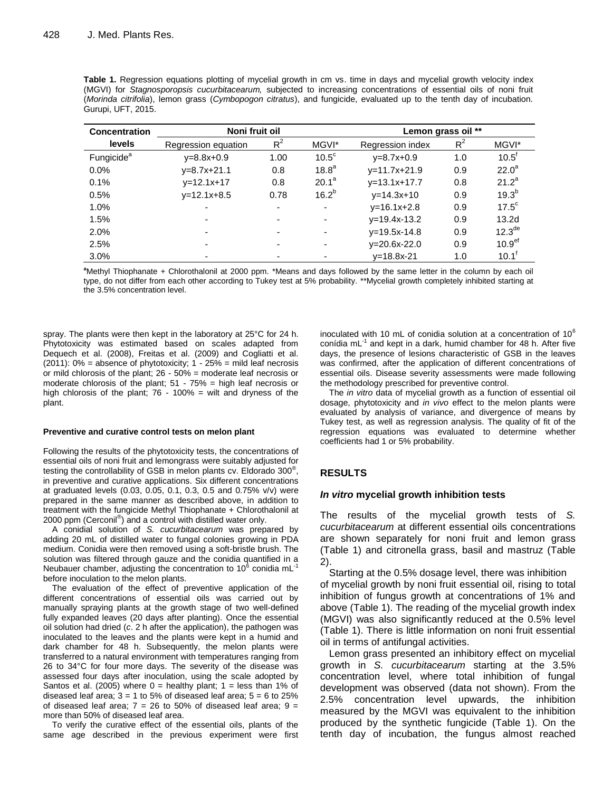| Noni fruit oil<br><b>Concentration</b> |                     |                          |                   | Lemon grass oil ** |       |                    |  |
|----------------------------------------|---------------------|--------------------------|-------------------|--------------------|-------|--------------------|--|
| <b>levels</b>                          | Regression equation | $R^2$<br>MGVI*           |                   | Regression index   | $R^2$ | MGVI*              |  |
| Fungicide <sup>a</sup>                 | $v = 8.8x + 0.9$    | 1.00                     | $10.5^{\circ}$    | $v = 8.7x + 0.9$   | 1.0   | $10.5^{\text{t}}$  |  |
| $0.0\%$                                | $v=8.7x+21.1$       | 0.8                      | 18.8 <sup>a</sup> | $y=11.7x+21.9$     | 0.9   | $22.0^a$           |  |
| 0.1%                                   | $v=12.1x+17$        | 0.8                      | $20.1^a$          | $v=13.1x+17.7$     | 0.8   | $21.2^a$           |  |
| 0.5%                                   | $v=12.1x+8.5$       | 0.78                     | $16.2^{b}$        | $v = 14.3x + 10$   | 0.9   | $19.3^{b}$         |  |
| 1.0%                                   | ۰                   | ٠                        | ٠                 | $v=16.1x+2.8$      | 0.9   | $17.5^{\circ}$     |  |
| 1.5%                                   | ٠                   | $\overline{\phantom{a}}$ | ۰                 | $v=19.4x-13.2$     | 0.9   | 13.2 <sub>d</sub>  |  |
| 2.0%                                   | ٠                   | ۰                        | ٠                 | $v=19.5x-14.8$     | 0.9   | 12.3 <sup>de</sup> |  |
| 2.5%                                   | ٠                   | ٠                        | ۰                 | $v = 20.6x - 22.0$ | 0.9   | 10.9 <sup>ef</sup> |  |
| 3.0%                                   | -                   | $\overline{\phantom{a}}$ |                   | $v = 18.8x - 21$   | 1.0   | $10.1^{\dagger}$   |  |

**Table 1.** Regression equations plotting of mycelial growth in cm vs. time in days and mycelial growth velocity index (MGVI) for *Stagnosporopsis cucurbitacearum,* subjected to increasing concentrations of essential oils of noni fruit (*Morinda citrifolia*), lemon grass (*Cymbopogon citratus*), and fungicide, evaluated up to the tenth day of incubation. Gurupi, UFT, 2015.

**<sup>a</sup>**Methyl Thiophanate + Chlorothalonil at 2000 ppm. \*Means and days followed by the same letter in the column by each oil type, do not differ from each other according to Tukey test at 5% probability. \*\*Mycelial growth completely inhibited starting at the 3.5% concentration level.

spray. The plants were then kept in the laboratory at 25°C for 24 h. Phytotoxicity was estimated based on scales adapted from Dequech et al. (2008), Freitas et al. (2009) and Cogliatti et al. (2011): 0% = absence of phytotoxicity; 1 - 25% = mild leaf necrosis or mild chlorosis of the plant; 26 - 50% = moderate leaf necrosis or moderate chlorosis of the plant; 51 - 75% = high leaf necrosis or high chlorosis of the plant; 76 - 100% = wilt and dryness of the plant.

#### **Preventive and curative control tests on melon plant**

Following the results of the phytotoxicity tests, the concentrations of essential oils of noni fruit and lemongrass were suitably adjusted for testing the controllability of GSB in melon plants cv. Eldorado 300® , in preventive and curative applications. Six different concentrations at graduated levels (0.03, 0.05, 0.1, 0.3, 0.5 and 0.75% v/v) were prepared in the same manner as described above, in addition to treatment with the fungicide Methyl Thiophanate + Chlorothalonil at 2000 ppm (Cerconil<sup>®</sup>) and a control with distilled water only.

A conidial solution of *S. cucurbitacearum* was prepared by adding 20 mL of distilled water to fungal colonies growing in PDA medium. Conidia were then removed using a soft-bristle brush. The solution was filtered through gauze and the conidia quantified in a Neubauer chamber, adjusting the concentration to 10<sup>6</sup> conidia mL<sup>-1</sup> before inoculation to the melon plants.

The evaluation of the effect of preventive application of the different concentrations of essential oils was carried out by manually spraying plants at the growth stage of two well-defined fully expanded leaves (20 days after planting). Once the essential oil solution had dried (*c*. 2 h after the application), the pathogen was inoculated to the leaves and the plants were kept in a humid and dark chamber for 48 h. Subsequently, the melon plants were transferred to a natural environment with temperatures ranging from 26 to 34°C for four more days. The severity of the disease was assessed four days after inoculation, using the scale adopted by Santos et al. (2005) where  $0 =$  healthy plant;  $1 =$  less than 1% of diseased leaf area;  $3 = 1$  to 5% of diseased leaf area;  $5 = 6$  to 25% of diseased leaf area;  $7 = 26$  to 50% of diseased leaf area;  $9 =$ more than 50% of diseased leaf area.

To verify the curative effect of the essential oils, plants of the same age described in the previous experiment were first inoculated with 10 mL of conidia solution at a concentration of  $10^6$ conídia mL<sup>-1</sup> and kept in a dark, humid chamber for 48 h. After five days, the presence of lesions characteristic of GSB in the leaves was confirmed, after the application of different concentrations of essential oils. Disease severity assessments were made following the methodology prescribed for preventive control.

The *in vitro* data of mycelial growth as a function of essential oil dosage, phytotoxicity and *in vivo* effect to the melon plants were evaluated by analysis of variance, and divergence of means by Tukey test, as well as regression analysis. The quality of fit of the regression equations was evaluated to determine whether coefficients had 1 or 5% probability.

# **RESULTS**

#### *In vitro* **mycelial growth inhibition tests**

The results of the mycelial growth tests of *S. cucurbitacearum* at different essential oils concentrations are shown separately for noni fruit and lemon grass (Table 1) and citronella grass, basil and mastruz (Table 2).

Starting at the 0.5% dosage level, there was inhibition of mycelial growth by noni fruit essential oil, rising to total inhibition of fungus growth at concentrations of 1% and above (Table 1). The reading of the mycelial growth index (MGVI) was also significantly reduced at the 0.5% level (Table 1). There is little information on noni fruit essential oil in terms of antifungal activities.

Lemon grass presented an inhibitory effect on mycelial growth in *S. cucurbitacearum* starting at the 3.5% concentration level, where total inhibition of fungal development was observed (data not shown). From the 2.5% concentration level upwards, the inhibition measured by the MGVI was equivalent to the inhibition produced by the synthetic fungicide (Table 1). On the tenth day of incubation, the fungus almost reached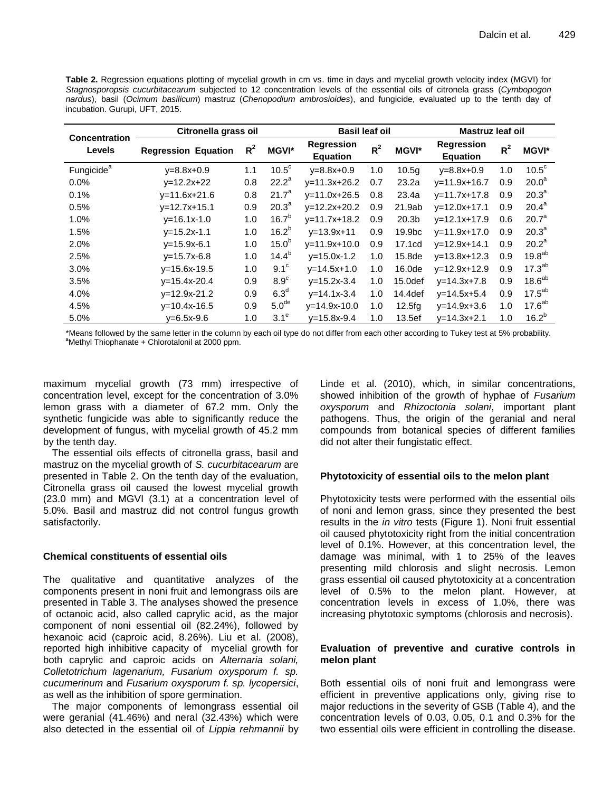**Table 2.** Regression equations plotting of mycelial growth in cm vs. time in days and mycelial growth velocity index (MGVI) for *Stagnosporopsis cucurbitacearum* subjected to 12 concentration levels of the essential oils of citronela grass (*Cymbopogon nardus*), basil (*Ocimum basilicum*) mastruz (*Chenopodium ambrosioides*), and fungicide, evaluated up to the tenth day of incubation. Gurupi, UFT, 2015.

| <b>Concentration</b>   | Citronella grass oil       |       |                   | <b>Basil leaf oil</b>         |       |                     | Mastruz leaf oil              |       |                    |
|------------------------|----------------------------|-------|-------------------|-------------------------------|-------|---------------------|-------------------------------|-------|--------------------|
| <b>Levels</b>          | <b>Regression Equation</b> | $R^2$ | <b>MGVI*</b>      | Regression<br><b>Equation</b> | $R^2$ | <b>MGVI*</b>        | Regression<br><b>Equation</b> | $R^2$ | <b>MGVI*</b>       |
| Fungicide <sup>a</sup> | $v = 8.8x + 0.9$           | 1.1   | $10.5^{\circ}$    | $v = 8.8x + 0.9$              | 1.0   | 10.5 <sub>q</sub>   | $v = 8.8x + 0.9$              | 1.0   | $10.5^{\circ}$     |
| $0.0\%$                | $v=12.2x+22$               | 0.8   | $22.2^a$          | $v=11.3x+26.2$                | 0.7   | 23.2a               | $v = 11.9x + 16.7$            | 0.9   | $20.0^a$           |
| 0.1%                   | $v=11.6x+21.6$             | 0.8   | $21.7^a$          | $v=11.0x+26.5$                | 0.8   | 23.4a               | $y=11.7x+17.8$                | 0.9   | 20.3 <sup>a</sup>  |
| 0.5%                   | $v=12.7x+15.1$             | 0.9   | 20.3 <sup>a</sup> | $v=12.2x+20.2$                | 0.9   | 21.9ab              | $v=12.0x+17.1$                | 0.9   | $20.4^a$           |
| 1.0%                   | $v=16.1x-1.0$              | 1.0   | $16.7^{b}$        | $v=11.7x+18.2$                | 0.9   | 20.3 <sub>b</sub>   | $v=12.1x+17.9$                | 0.6   | 20.7 <sup>a</sup>  |
| 1.5%                   | $v = 15.2x - 1.1$          | 1.0   | $16.2^{b}$        | $v = 13.9x + 11$              | 0.9   | 19.9 <sub>bc</sub>  | $y=11.9x+17.0$                | 0.9   | $20.3^a$           |
| 2.0%                   | $v = 15.9x - 6.1$          | 1.0   | 15.0 <sup>b</sup> | $v = 11.9x + 10.0$            | 0.9   | 17.1cd              | $v=12.9x+14.1$                | 0.9   | $20.2^a$           |
| 2.5%                   | $v = 15.7x - 6.8$          | 1.0   | $14.4^{b}$        | $v = 15.0x - 1.2$             | 1.0   | 15.8de              | $v=13.8x+12.3$                | 0.9   | 19.8 <sup>ab</sup> |
| 3.0%                   | $v=15.6x-19.5$             | 1.0   | $9.1^\circ$       | $v=14.5x+1.0$                 | 1.0   | 16.0de              | $v=12.9x+12.9$                | 0.9   | $17.3^{ab}$        |
| 3.5%                   | $v=15.4x-20.4$             | 0.9   | $8.9^\circ$       | $v=15.2x-3.4$                 | 1.0   | 15.0 <sub>def</sub> | $V = 14.3x + 7.8$             | 0.9   | $18.6^{ab}$        |
| 4.0%                   | $v=12.9x-21.2$             | 0.9   | 6.3 <sup>d</sup>  | $V = 14.1x - 3.4$             | 1.0   | 14.4def             | $v = 14.5x + 5.4$             | 0.9   | $17.5^{ab}$        |
| 4.5%                   | $y=10.4x-16.5$             | 0.9   | 5.0 <sup>de</sup> | $v = 14.9x - 10.0$            | 1.0   | 12.5fq              | $v = 14.9x + 3.6$             | 1.0   | 17.6 <sup>ab</sup> |
| 5.0%                   | $v = 6.5x - 9.6$           | 1.0   | $3.1^\circ$       | $v = 15.8x - 9.4$             | 1.0   | 13.5ef              | $v=14.3x+2.1$                 | 1.0   | $16.2^{b}$         |

\*Means followed by the same letter in the column by each oil type do not differ from each other according to Tukey test at 5% probability. **<sup>a</sup>**Methyl Thiophanate + Chlorotalonil at 2000 ppm.

maximum mycelial growth (73 mm) irrespective of concentration level, except for the concentration of 3.0% lemon grass with a diameter of 67.2 mm. Only the synthetic fungicide was able to significantly reduce the development of fungus, with mycelial growth of 45.2 mm by the tenth day.

The essential oils effects of citronella grass, basil and mastruz on the mycelial growth of *S. cucurbitacearum* are presented in Table 2. On the tenth day of the evaluation, Citronella grass oil caused the lowest mycelial growth (23.0 mm) and MGVI (3.1) at a concentration level of 5.0%. Basil and mastruz did not control fungus growth satisfactorily.

# **Chemical constituents of essential oils**

The qualitative and quantitative analyzes of the components present in noni fruit and lemongrass oils are presented in Table 3. The analyses showed the presence of octanoic acid, also called caprylic acid, as the major component of noni essential oil (82.24%), followed by hexanoic acid (caproic acid, 8.26%). Liu et al. (2008), reported high inhibitive capacity of mycelial growth for both caprylic and caproic acids on *Alternaria solani, Colletotrichum lagenarium, Fusarium oxysporum f. sp. cucumerinum* and *Fusarium oxysporum f. sp. lycopersici*, as well as the inhibition of spore germination.

The major components of lemongrass essential oil were geranial (41.46%) and neral (32.43%) which were also detected in the essential oil of *Lippia rehmannii* by Linde et al. (2010), which, in similar concentrations, showed inhibition of the growth of hyphae of *Fusarium oxysporum* and *Rhizoctonia solani*, important plant pathogens. Thus, the origin of the geranial and neral compounds from botanical species of different families did not alter their fungistatic effect.

# **Phytotoxicity of essential oils to the melon plant**

Phytotoxicity tests were performed with the essential oils of noni and lemon grass, since they presented the best results in the *in vitro* tests (Figure 1). Noni fruit essential oil caused phytotoxicity right from the initial concentration level of 0.1%. However, at this concentration level, the damage was minimal, with 1 to 25% of the leaves presenting mild chlorosis and slight necrosis. Lemon grass essential oil caused phytotoxicity at a concentration level of 0.5% to the melon plant. However, at concentration levels in excess of 1.0%, there was increasing phytotoxic symptoms (chlorosis and necrosis).

# **Evaluation of preventive and curative controls in melon plant**

Both essential oils of noni fruit and lemongrass were efficient in preventive applications only, giving rise to major reductions in the severity of GSB (Table 4), and the concentration levels of 0.03, 0.05, 0.1 and 0.3% for the two essential oils were efficient in controlling the disease.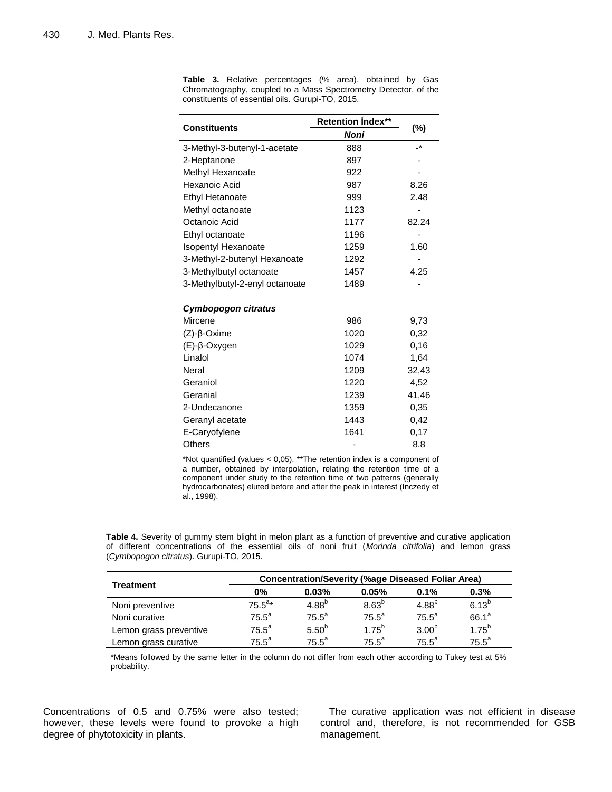|                                | <b>Retention Index**</b> | $(\%)$ |  |
|--------------------------------|--------------------------|--------|--|
| <b>Constituents</b>            | Noni                     |        |  |
| 3-Methyl-3-butenyl-1-acetate   | 888                      | -*     |  |
| 2-Heptanone                    | 897                      |        |  |
| Methyl Hexanoate               | 922                      |        |  |
| Hexanoic Acid                  | 987                      | 8.26   |  |
| <b>Ethyl Hetanoate</b>         | 999                      | 2.48   |  |
| Methyl octanoate               | 1123                     |        |  |
| Octanoic Acid                  | 1177                     | 82.24  |  |
| Ethyl octanoate                | 1196                     |        |  |
| <b>Isopentyl Hexanoate</b>     | 1259                     | 1.60   |  |
| 3-Methyl-2-butenyl Hexanoate   | 1292                     |        |  |
| 3-Methylbutyl octanoate        | 1457                     | 4.25   |  |
| 3-Methylbutyl-2-enyl octanoate | 1489                     |        |  |
| Cymbopogon citratus            |                          |        |  |
| Mircene                        | 986                      | 9,73   |  |
| $(Z)-\beta$ -Oxime             | 1020                     | 0,32   |  |
| (E)-β-Oxygen                   | 1029                     | 0,16   |  |
| Linalol                        | 1074                     | 1,64   |  |
| Neral                          | 1209                     | 32,43  |  |
| Geraniol                       | 1220                     | 4,52   |  |
| Geranial                       | 1239                     | 41,46  |  |
| 2-Undecanone                   | 1359                     | 0,35   |  |
| Geranyl acetate                | 1443                     | 0,42   |  |
| E-Caryofylene                  | 1641                     | 0,17   |  |
| Others                         |                          | 8.8    |  |

**Table 3.** Relative percentages (% area), obtained by Gas Chromatography, coupled to a Mass Spectrometry Detector, of the constituents of essential oils. Gurupi-TO, 2015.

\*Not quantified (values < 0,05). \*\*The retention index is a component of a number, obtained by interpolation, relating the retention time of a component under study to the retention time of two patterns (generally hydrocarbonates) eluted before and after the peak in interest (Inczedy et al., 1998).

**Table 4.** Severity of gummy stem blight in melon plant as a function of preventive and curative application of different concentrations of the essential oils of noni fruit (*Morinda citrifolia*) and lemon grass (*Cymbopogon citratus*). Gurupi-TO, 2015.

|                        | <b>Concentration/Severity (%age Diseased Foliar Area)</b> |                   |                   |                   |            |  |  |
|------------------------|-----------------------------------------------------------|-------------------|-------------------|-------------------|------------|--|--|
| <b>Treatment</b>       | 0%                                                        | 0.03%             | 0.05%             | 0.1%              | 0.3%       |  |  |
| Noni preventive        | $75.5^{a*}$                                               | $4.88^{b}$        | 8.63 <sup>b</sup> | $4.88^{b}$        | $6.13^{b}$ |  |  |
| Noni curative          | $75.5^a$                                                  | $75.5^a$          | $75.5^a$          | $75.5^a$          | $66.1^a$   |  |  |
| Lemon grass preventive | $75.5^a$                                                  | 5.50 <sup>b</sup> | $1.75^{b}$        | 3.00 <sup>b</sup> | $1.75^{b}$ |  |  |
| Lemon grass curative   | $75.5^{\circ}$                                            | $75.5^a$          | $75.5^a$          | $75.5^a$          | $75.5^a$   |  |  |

\*Means followed by the same letter in the column do not differ from each other according to Tukey test at 5% probability.

Concentrations of 0.5 and 0.75% were also tested; however, these levels were found to provoke a high degree of phytotoxicity in plants.

The curative application was not efficient in disease control and, therefore, is not recommended for GSB management.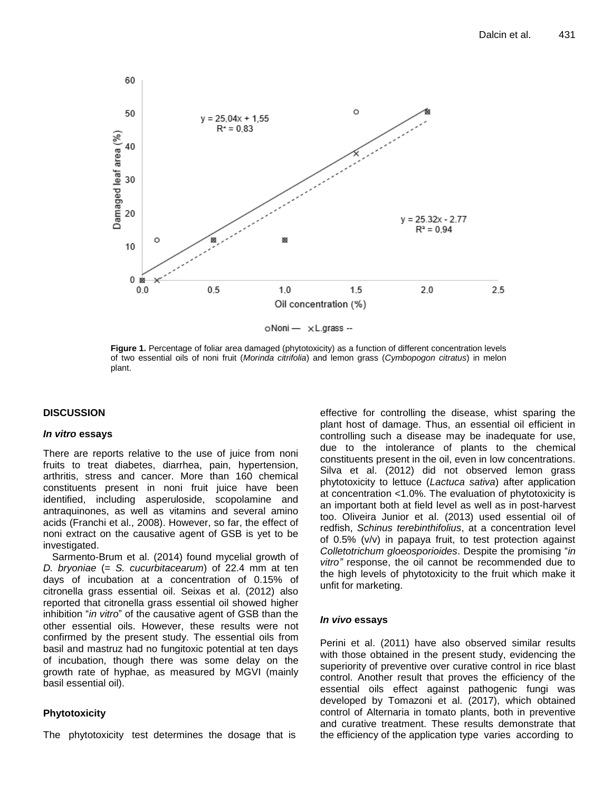

**Figure 1.** Percentage of foliar area damaged (phytotoxicity) as a function of different concentration levels of two essential oils of noni fruit (*Morinda citrifolia*) and lemon grass (*Cymbopogon citratus*) in melon plant.

# **DISCUSSION**

## *In vitro* **essays**

There are reports relative to the use of juice from noni fruits to treat diabetes, diarrhea, pain, hypertension, arthritis, stress and cancer. More than 160 chemical constituents present in noni fruit juice have been identified, including asperuloside, scopolamine and antraquinones, as well as vitamins and several amino acids (Franchi et al., 2008). However, so far, the effect of noni extract on the causative agent of GSB is yet to be investigated.

Sarmento-Brum et al. (2014) found mycelial growth of *D. bryoniae* (= *S. cucurbitacearum*) of 22.4 mm at ten days of incubation at a concentration of 0.15% of citronella grass essential oil. Seixas et al. (2012) also reported that citronella grass essential oil showed higher inhibition "*in vitro*" of the causative agent of GSB than the other essential oils. However, these results were not confirmed by the present study. The essential oils from basil and mastruz had no fungitoxic potential at ten days of incubation, though there was some delay on the growth rate of hyphae, as measured by MGVI (mainly basil essential oil).

# **Phytotoxicity**

The phytotoxicity test determines the dosage that is

effective for controlling the disease, whist sparing the plant host of damage. Thus, an essential oil efficient in controlling such a disease may be inadequate for use, due to the intolerance of plants to the chemical constituents present in the oil, even in low concentrations. Silva et al. (2012) did not observed lemon grass phytotoxicity to lettuce (*Lactuca sativa*) after application at concentration <1.0%. The evaluation of phytotoxicity is an important both at field level as well as in post-harvest too. Oliveira Junior et al. (2013) used essential oil of redfish, *Schinus terebinthifolius*, at a concentration level of 0.5% (v/v) in papaya fruit, to test protection against *Colletotrichum gloeosporioides*. Despite the promising "*in vitro"* response, the oil cannot be recommended due to the high levels of phytotoxicity to the fruit which make it unfit for marketing.

# *In vivo* **essays**

Perini et al. (2011) have also observed similar results with those obtained in the present study, evidencing the superiority of preventive over curative control in rice blast control. Another result that proves the efficiency of the essential oils effect against pathogenic fungi was developed by Tomazoni et al. (2017), which obtained control of Alternaria in tomato plants, both in preventive and curative treatment. These results demonstrate that the efficiency of the application type varies according to